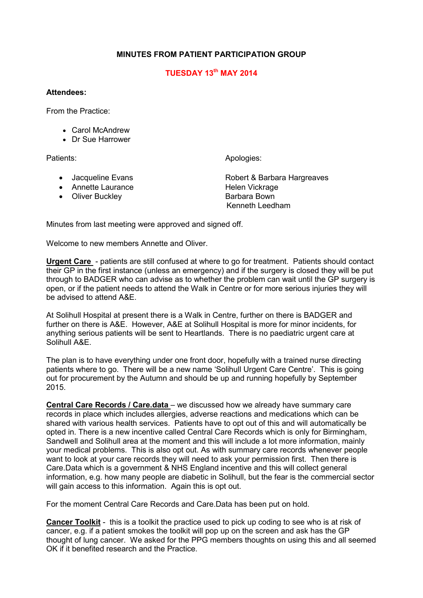## **MINUTES FROM PATIENT PARTICIPATION GROUP**

## **TUESDAY 13th MAY 2014**

## **Attendees:**

From the Practice:

- Carol McAndrew
- Dr Sue Harrower

Patients: Apologies: Apologies: Apologies: Apologies: Apologies: Apologies: Apologies: Apologies: Apologies: Apologies: Apologies: Apologies: Apologies: Apologies: Apologies: Apologies: Apologies: Apologies: Apologies: Apo

- 
- Annette Laurance Helen Vickrage
- Oliver Buckley **Barbara Bown**

• Jacqueline Evans Robert & Barbara Hargreaves Kenneth Leedham

Minutes from last meeting were approved and signed off.

Welcome to new members Annette and Oliver.

**Urgent Care** - patients are still confused at where to go for treatment. Patients should contact their GP in the first instance (unless an emergency) and if the surgery is closed they will be put through to BADGER who can advise as to whether the problem can wait until the GP surgery is open, or if the patient needs to attend the Walk in Centre or for more serious injuries they will be advised to attend A&E.

At Solihull Hospital at present there is a Walk in Centre, further on there is BADGER and further on there is A&E. However, A&E at Solihull Hospital is more for minor incidents, for anything serious patients will be sent to Heartlands. There is no paediatric urgent care at Solihull A&E.

The plan is to have everything under one front door, hopefully with a trained nurse directing patients where to go. There will be a new name 'Solihull Urgent Care Centre'. This is going out for procurement by the Autumn and should be up and running hopefully by September 2015.

**Central Care Records / Care.data** – we discussed how we already have summary care records in place which includes allergies, adverse reactions and medications which can be shared with various health services. Patients have to opt out of this and will automatically be opted in. There is a new incentive called Central Care Records which is only for Birmingham, Sandwell and Solihull area at the moment and this will include a lot more information, mainly your medical problems. This is also opt out. As with summary care records whenever people want to look at your care records they will need to ask your permission first. Then there is Care.Data which is a government & NHS England incentive and this will collect general information, e.g. how many people are diabetic in Solihull, but the fear is the commercial sector will gain access to this information. Again this is opt out.

For the moment Central Care Records and Care.Data has been put on hold.

**Cancer Toolkit** - this is a toolkit the practice used to pick up coding to see who is at risk of cancer, e.g. if a patient smokes the toolkit will pop up on the screen and ask has the GP thought of lung cancer. We asked for the PPG members thoughts on using this and all seemed OK if it benefited research and the Practice.